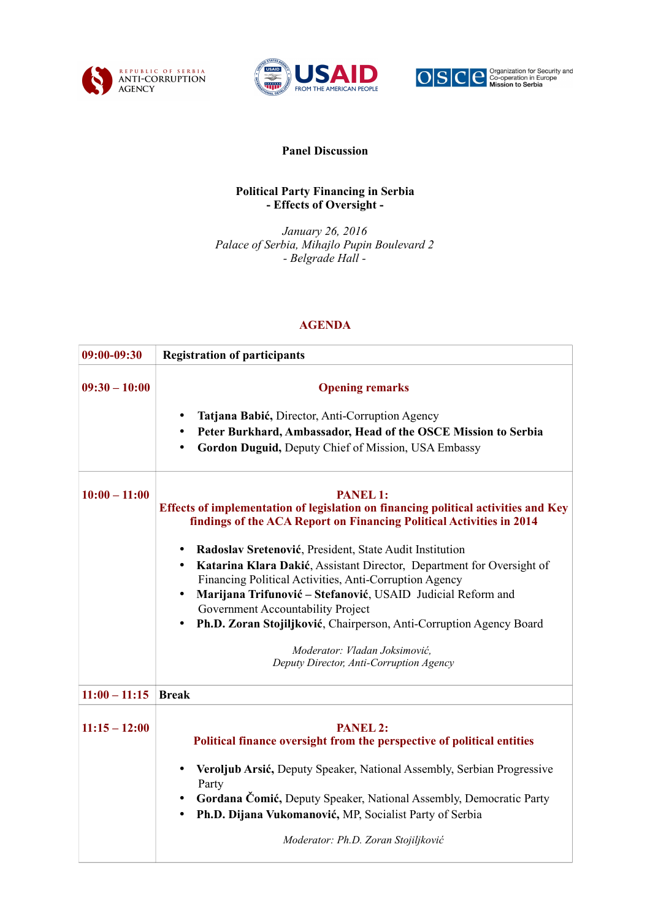





## **Panel Discussion**

## **Political Party Financing in Serbia - Effects of Oversight -**

*January 26, 2016 Palace of Serbia, Mihajlo Pupin Boulevard 2 - Belgrade Hall -*

## **AGENDA**

| 09:00-09:30     | <b>Registration of participants</b>                                                                                                                                                                                                                                                                                                                                                                                                                                                                                                                                                                                                                  |
|-----------------|------------------------------------------------------------------------------------------------------------------------------------------------------------------------------------------------------------------------------------------------------------------------------------------------------------------------------------------------------------------------------------------------------------------------------------------------------------------------------------------------------------------------------------------------------------------------------------------------------------------------------------------------------|
| $09:30 - 10:00$ | <b>Opening remarks</b><br>Tatjana Babić, Director, Anti-Corruption Agency<br>٠<br>Peter Burkhard, Ambassador, Head of the OSCE Mission to Serbia<br>Gordon Duguid, Deputy Chief of Mission, USA Embassy                                                                                                                                                                                                                                                                                                                                                                                                                                              |
| $10:00 - 11:00$ | <b>PANEL 1:</b><br>Effects of implementation of legislation on financing political activities and Key<br>findings of the ACA Report on Financing Political Activities in 2014<br>Radoslav Sretenović, President, State Audit Institution<br>٠<br>Katarina Klara Dakić, Assistant Director, Department for Oversight of<br>$\bullet$<br>Financing Political Activities, Anti-Corruption Agency<br>Marijana Trifunović - Stefanović, USAID Judicial Reform and<br>Government Accountability Project<br>Ph.D. Zoran Stojiljković, Chairperson, Anti-Corruption Agency Board<br>Moderator: Vladan Joksimović,<br>Deputy Director, Anti-Corruption Agency |
| $11:00 - 11:15$ | <b>Break</b>                                                                                                                                                                                                                                                                                                                                                                                                                                                                                                                                                                                                                                         |
| $11:15 - 12:00$ | <b>PANEL 2:</b><br>Political finance oversight from the perspective of political entities<br>Veroljub Arsić, Deputy Speaker, National Assembly, Serbian Progressive<br>٠<br>Party<br>Gordana Čomić, Deputy Speaker, National Assembly, Democratic Party<br>Ph.D. Dijana Vukomanović, MP, Socialist Party of Serbia                                                                                                                                                                                                                                                                                                                                   |
|                 | Moderator: Ph.D. Zoran Stojiljković                                                                                                                                                                                                                                                                                                                                                                                                                                                                                                                                                                                                                  |